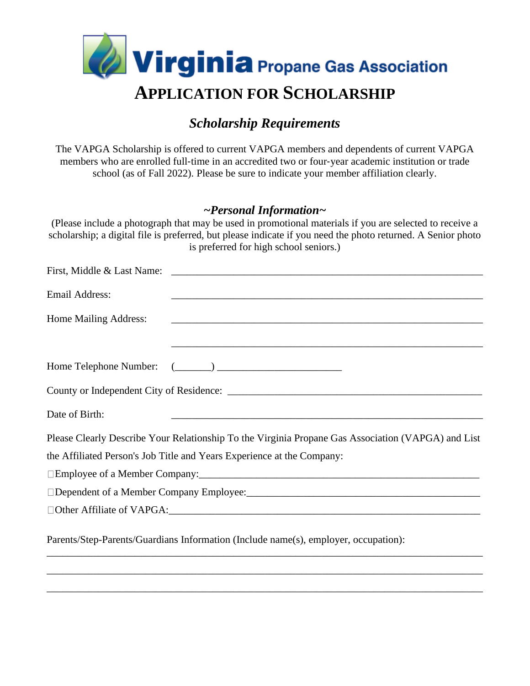

## *Scholarship Requirements*

The VAPGA Scholarship is offered to current VAPGA members and dependents of current VAPGA members who are enrolled full‐time in an accredited two or four‐year academic institution or trade school (as of Fall 2022). Please be sure to indicate your member affiliation clearly.

#### *~Personal Information~*

(Please include a photograph that may be used in promotional materials if you are selected to receive a scholarship; a digital file is preferred, but please indicate if you need the photo returned. A Senior photo is preferred for high school seniors.)

| <b>Email Address:</b>                                                                              |
|----------------------------------------------------------------------------------------------------|
| Home Mailing Address:                                                                              |
| ,我们也不能在这里的时候,我们也不能在这里的时候,我们也不能会在这里的时候,我们也不能会在这里的时候,我们也不能会在这里的时候,我们也不能会在这里的时候,我们也不                  |
|                                                                                                    |
|                                                                                                    |
| Date of Birth:                                                                                     |
| Please Clearly Describe Your Relationship To the Virginia Propane Gas Association (VAPGA) and List |
| the Affiliated Person's Job Title and Years Experience at the Company:                             |
|                                                                                                    |
| □Dependent of a Member Company Employee:<br>□                                                      |
|                                                                                                    |
| Parents/Step-Parents/Guardians Information (Include name(s), employer, occupation):                |

\_\_\_\_\_\_\_\_\_\_\_\_\_\_\_\_\_\_\_\_\_\_\_\_\_\_\_\_\_\_\_\_\_\_\_\_\_\_\_\_\_\_\_\_\_\_\_\_\_\_\_\_\_\_\_\_\_\_\_\_\_\_\_\_\_\_\_\_\_\_\_\_\_\_\_\_\_\_\_\_\_\_\_\_

\_\_\_\_\_\_\_\_\_\_\_\_\_\_\_\_\_\_\_\_\_\_\_\_\_\_\_\_\_\_\_\_\_\_\_\_\_\_\_\_\_\_\_\_\_\_\_\_\_\_\_\_\_\_\_\_\_\_\_\_\_\_\_\_\_\_\_\_\_\_\_\_\_\_\_\_\_\_\_\_\_\_\_\_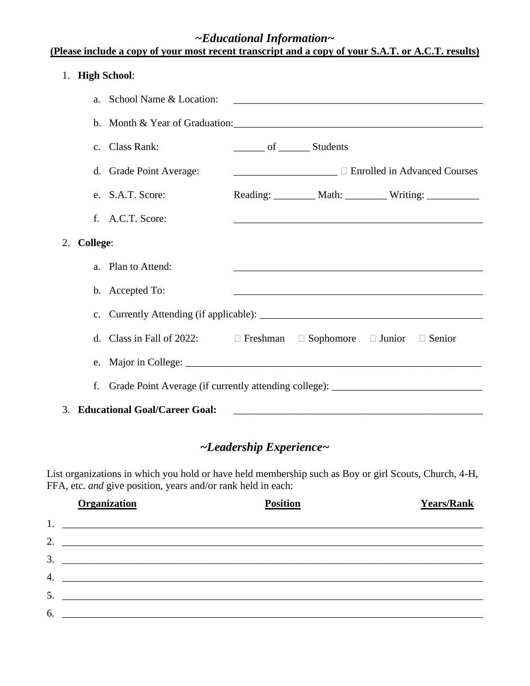### *~Educational Information~*

| (Please include a copy of your most recent transcript and a copy of your S.A.T. or A.C.T. results) |  |  |  |
|----------------------------------------------------------------------------------------------------|--|--|--|
| 1. High School:                                                                                    |  |  |  |
| a. School Name & Location:                                                                         |  |  |  |

|    |                 | DUITOUL PAINT OF LOUGHOIL.                                                                      |                                |  |                                                                                                                  |
|----|-----------------|-------------------------------------------------------------------------------------------------|--------------------------------|--|------------------------------------------------------------------------------------------------------------------|
|    |                 | b. Month & Year of Graduation: 1997                                                             |                                |  |                                                                                                                  |
|    |                 | c. Class Rank:                                                                                  | ________ of _________ Students |  |                                                                                                                  |
|    |                 | d. Grade Point Average:                                                                         |                                |  | <b>Enrolled in Advanced Courses</b>                                                                              |
|    |                 | e. S.A.T. Score:                                                                                |                                |  | Reading: _________ Math: _________ Writing: __________                                                           |
|    | f.              | A.C.T. Score:                                                                                   |                                |  | and the control of the control of the control of the control of the control of the control of the control of the |
| 2. | <b>College:</b> |                                                                                                 |                                |  |                                                                                                                  |
|    | a <sub>z</sub>  | Plan to Attend:                                                                                 |                                |  |                                                                                                                  |
|    |                 | b. Accepted To:                                                                                 |                                |  | and the control of the control of the control of the control of the control of the control of the control of the |
|    | $\mathbf{C}$ .  |                                                                                                 |                                |  |                                                                                                                  |
|    | $d_{-}$         | Class in Fall of 2022: $\square$ Freshman $\square$ Sophomore $\square$ Junior $\square$ Senior |                                |  |                                                                                                                  |
|    |                 |                                                                                                 |                                |  |                                                                                                                  |
|    | f.              | Grade Point Average (if currently attending college): __________________________                |                                |  |                                                                                                                  |
| 3. |                 | <b>Educational Goal/Career Goal:</b>                                                            |                                |  |                                                                                                                  |

## *~Leadership Experience~*

List organizations in which you hold or have held membership such as Boy or girl Scouts, Church, 4-H, FFA, etc. *and* give position, years and/or rank held in each:

|    | <b>Organization</b>                                              | <b>Position</b> | <b>Years/Rank</b> |
|----|------------------------------------------------------------------|-----------------|-------------------|
|    |                                                                  |                 |                   |
|    |                                                                  |                 |                   |
| 3. | <u> 1989 - Jan James James Barnett, fransk politik (d. 1989)</u> |                 |                   |
|    |                                                                  |                 |                   |
|    |                                                                  |                 |                   |
| 6. |                                                                  |                 |                   |
|    |                                                                  |                 |                   |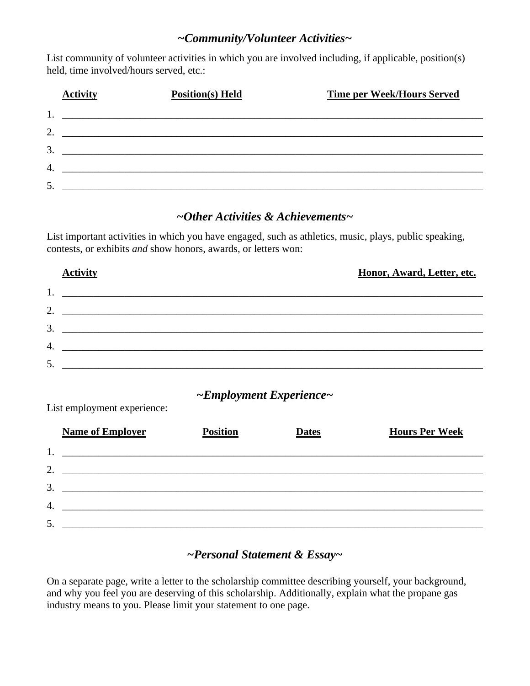#### *~Community/Volunteer Activities~*

List community of volunteer activities in which you are involved including, if applicable, position(s) held, time involved/hours served, etc.:

|    | <b>Activity</b> | <b>Position(s)</b> Held                                                                                              | <b>Time per Week/Hours Served</b> |
|----|-----------------|----------------------------------------------------------------------------------------------------------------------|-----------------------------------|
|    |                 | <u> 2000 - 2000 - 2000 - 2000 - 2000 - 2000 - 2000 - 2000 - 2000 - 2000 - 2000 - 2000 - 2000 - 2000 - 2000 - 200</u> |                                   |
| 2. |                 | <u> 1989 - John Stoff, amerikansk politiker (d. 1989)</u>                                                            |                                   |
| 3  |                 |                                                                                                                      |                                   |
| 4. |                 |                                                                                                                      |                                   |
|    |                 | <u> 1989 - Jan Barnett, fransk politiker (d. 1989)</u>                                                               |                                   |
| 5. |                 |                                                                                                                      |                                   |

#### *~Other Activities & Achievements~*

List important activities in which you have engaged, such as athletics, music, plays, public speaking, contests, or exhibits *and* show honors, awards, or letters won:

|    | <b>Activity</b> | Honor, Award, Letter, etc. |
|----|-----------------|----------------------------|
| 1. |                 |                            |
| 2. |                 |                            |
| 3. |                 |                            |
| 4. |                 |                            |
| 5. |                 |                            |

#### *~Employment Experience~*

|    | <b>Name of Employer</b>                                                                                               | <b>Position</b> | <b>Dates</b> | <b>Hours Per Week</b> |
|----|-----------------------------------------------------------------------------------------------------------------------|-----------------|--------------|-----------------------|
|    |                                                                                                                       |                 |              |                       |
| 2. |                                                                                                                       |                 |              |                       |
| 3. | <u> 2000 - Jan Barnett, mars et al. 1980 - 1980 - 1980 - 1980 - 1980 - 1980 - 1980 - 1980 - 1980 - 1980 - 1980 - </u> |                 |              |                       |
| 4. |                                                                                                                       |                 |              |                       |
|    |                                                                                                                       |                 |              |                       |
|    |                                                                                                                       |                 |              |                       |

List employment experience:

#### *~Personal Statement & Essay~*

On a separate page, write a letter to the scholarship committee describing yourself, your background, and why you feel you are deserving of this scholarship. Additionally, explain what the propane gas industry means to you. Please limit your statement to one page.